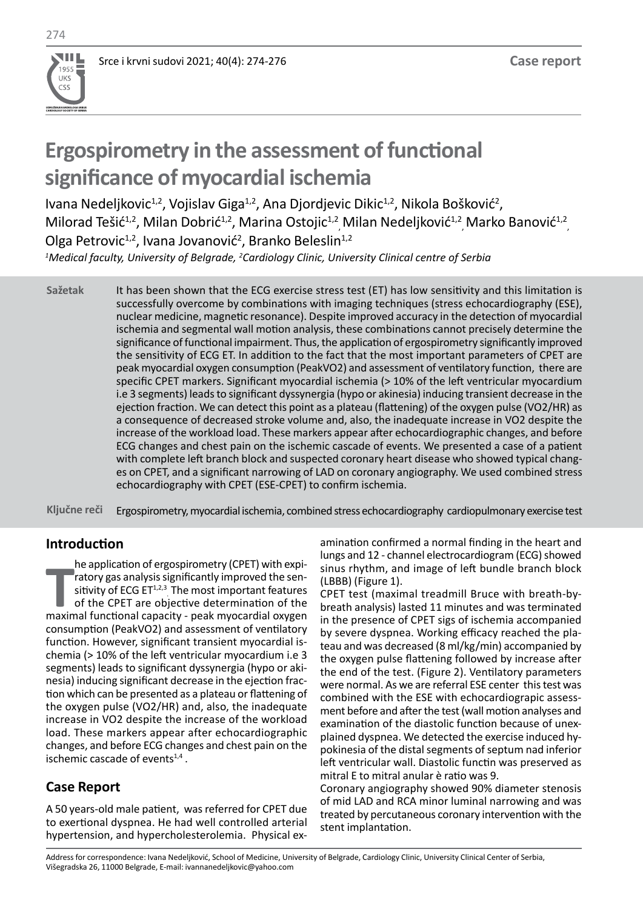# **Ergospirometry in the assessment of functional significance of myocardial ischemia**

Ivana Nedeljkovic<sup>1,2</sup>, Vojislav Giga<sup>1,2</sup>, Ana Djordjevic Dikic<sup>1,2</sup>, Nikola Bošković<sup>2</sup>, Milorad Tešić<sup>1,2</sup>, Milan Dobrić<sup>1,2</sup>, Marina Ostojic<sup>1,2</sup> Milan Nedeljković<sup>1,2</sup> Marko Banović<sup>1,2</sup> Olga Petrovic<sup>1,2</sup>, Ivana Jovanović<sup>2</sup>, Branko Beleslin<sup>1,2</sup>

*1 Medical faculty, University of Belgrade, <sup>2</sup> Cardiology Clinic, University Clinical centre of Serbia*

It has been shown that the ECG exercise stress test (ET) has low sensitivity and this limitation is successfully overcome by combinations with imaging techniques (stress echocardiography (ESE), nuclear medicine, magnetic resonance). Despite improved accuracy in the detection of myocardial ischemia and segmental wall motion analysis, these combinations cannot precisely determine the significance of functional impairment. Thus, the application of ergospirometry significantly improved the sensitivity of ECG ET. In addition to the fact that the most important parameters of CPET are peak myocardial oxygen consumption (PeakVO2) and assessment of ventilatory function, there are specific CPET markers. Significant myocardial ischemia (> 10% of the left ventricular myocardium i.e 3 segments) leads to significant dyssynergia (hypo or akinesia) inducing transient decrease in the ejection fraction. We can detect this point as a plateau (flattening) of the oxygen pulse (VO2/HR) as a consequence of decreased stroke volume and, also, the inadequate increase in VO2 despite the increase of the workload load. These markers appear after echocardiographic changes, and before ECG changes and chest pain on the ischemic cascade of events. We presented a case of a patient with complete left branch block and suspected coronary heart disease who showed typical changes on CPET, and a significant narrowing of LAD on coronary angiography. We used combined stress echocardiography with CPET (ESE-CPET) to confirm ischemia. **Sažetak**

Ergospirometry, myocardial ischemia, combined stress echocardiography cardiopulmonary exercise test **Ključne reči**

# **Introduction**

**THE FREE STATES THE MATH FURNA FREE STATES THE MATH CAPS STATES OF the CPET are objective determination of the maximal functional capacity - peak myocardial oxygen** he application of ergospirometry (CPET) with expiratory gas analysis significantly improved the sensitivity of ECG  $ET^{1,2,3}$ . The most important features of the CPET are objective determination of the consumption (PeakVO2) and assessment of ventilatory function. However, significant transient myocardial ischemia (> 10% of the left ventricular myocardium i.e 3 segments) leads to significant dyssynergia (hypo or akinesia) inducing significant decrease in the ejection fraction which can be presented as a plateau or flattening of the oxygen pulse (VO2/HR) and, also, the inadequate increase in VO2 despite the increase of the workload load. These markers appear after echocardiographic changes, and before ECG changes and chest pain on the ischemic cascade of events<sup>1,4</sup>.

# **Case Report**

A 50 years-old male patient, was referred for CPET due to exertional dyspnea. He had well controlled arterial hypertension, and hypercholesterolemia. Physical examination confirmed a normal finding in the heart and lungs and 12 - channel electrocardiogram (ECG) showed sinus rhythm, and image of left bundle branch block (LBBB) (Figure 1).

CPET test (maximal treadmill Bruce with breath-bybreath analysis) lasted 11 minutes and was terminated in the presence of CPET sigs of ischemia accompanied by severe dyspnea. Working efficacy reached the plateau and was decreased (8 ml/kg/min) accompanied by the oxygen pulse flattening followed by increase after the end of the test. (Figure 2). Ventilatory parameters were normal. As we are referral ESE center this test was combined with the ESE with echocardiograpic assessment before and after the test (wall motion analyses and examination of the diastolic function because of unexplained dyspnea. We detected the exercise induced hypokinesia of the distal segments of septum nad inferior left ventricular wall. Diastolic functin was preserved as mitral E to mitral anular è ratio was 9.

Coronary angiography showed 90% diameter stenosis of mid LAD and RCA minor luminal narrowing and was treated by percutaneous coronary intervention with the stent implantation.

Address for correspondence: Ivana Nedeljković, School of Medicine, University of Belgrade, Cardiology Clinic, University Clinical Center of Serbia, Višegradska 26, 11000 Belgrade, E-mail: ivannanedeljkovic@yahoo.com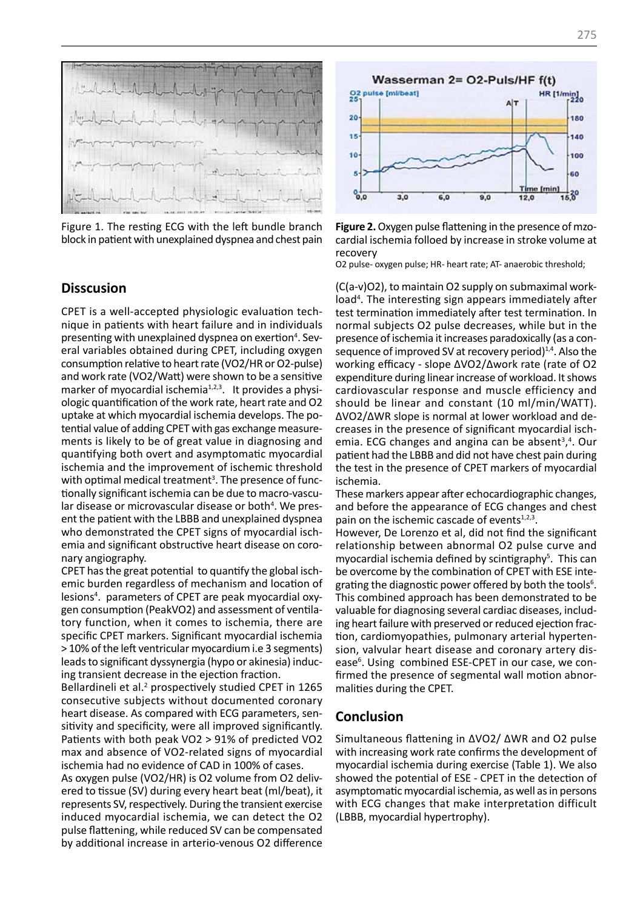

Figure 1. The resting ECG with the left bundle branch block in patient with unexplained dyspnea and chest pain

#### **Disscusion**

CPET is a well-accepted physiologic evaluation technique in patients with heart failure and in individuals presenting with unexplained dyspnea on exertion<sup>4</sup>. Several variables obtained during CPET, including oxygen consumption relative to heart rate (VO2/HR or O2-pulse) and work rate (VO2/Watt) were shown to be a sensitive marker of myocardial ischemia<sup>1,2,3</sup>. It provides a physiologic quantification of the work rate, heart rate and O2 uptake at which myocardial ischemia develops. The potential value of adding CPET with gas exchange measurements is likely to be of great value in diagnosing and quantifying both overt and asymptomatic myocardial ischemia and the improvement of ischemic threshold with optimal medical treatment<sup>3</sup>. The presence of functionally significant ischemia can be due to macro-vascular disease or microvascular disease or both<sup>4</sup>. We present the patient with the LBBB and unexplained dyspnea who demonstrated the CPET signs of myocardial ischemia and significant obstructive heart disease on coronary angiography.

CPET has the great potential to quantify the global ischemic burden regardless of mechanism and location of lesions4 . parameters of CPET are peak myocardial oxygen consumption (PeakVO2) and assessment of ventilatory function, when it comes to ischemia, there are specific CPET markers. Significant myocardial ischemia > 10% of the left ventricular myocardium i.e 3 segments) leads to significant dyssynergia (hypo or akinesia) inducing transient decrease in the ejection fraction.

Bellardineli et al.<sup>2</sup> prospectively studied CPET in 1265 consecutive subjects without documented coronary heart disease. As compared with ECG parameters, sensitivity and specificity, were all improved significantly. Patients with both peak VO2 > 91% of predicted VO2 max and absence of VO2-related signs of myocardial ischemia had no evidence of CAD in 100% of cases.

As oxygen pulse (VO2/HR) is O2 volume from O2 delivered to tissue (SV) during every heart beat (ml/beat), it represents SV, respectively. During the transient exercise induced myocardial ischemia, we can detect the O2 pulse flattening, while reduced SV can be compensated by additional increase in arterio-venous O2 difference



**Figure 2.** Oxygen pulse flattening in the presence of mzocardial ischemia folloed by increase in stroke volume at recovery

O2 pulse- oxygen pulse; HR- heart rate; AT- anaerobic threshold;

(C(a-v)O2), to maintain O2 supply on submaximal workload<sup>4</sup>. The interesting sign appears immediately after test termination immediately after test termination. In normal subjects O2 pulse decreases, while but in the presence of ischemia it increases paradoxically (as a consequence of improved SV at recovery period) $1,4$ . Also the working efficacy - slope ∆VO2/∆work rate (rate of O2 expenditure during linear increase of workload. It shows cardiovascular response and muscle efficiency and should be linear and constant (10 ml/min/WATT). ∆VO2/∆WR slope is normal at lower workload and decreases in the presence of significant myocardial ischemia. ECG changes and angina can be absent $3,4$ . Our patient had the LBBB and did not have chest pain during the test in the presence of CPET markers of myocardial ischemia.

These markers appear after echocardiographic changes, and before the appearance of ECG changes and chest pain on the ischemic cascade of events<sup>1,2,3</sup>.

However, De Lorenzo et al, did not find the significant relationship between abnormal O2 pulse curve and myocardial ischemia defined by scintigraphy<sup>5</sup>. This can be overcome by the combination of CPET with ESE integrating the diagnostic power offered by both the tools<sup>6</sup>. This combined approach has been demonstrated to be valuable for diagnosing several cardiac diseases, including heart failure with preserved or reduced ejection fraction, cardiomyopathies, pulmonary arterial hypertension, valvular heart disease and coronary artery disease<sup>6</sup>. Using combined ESE-CPET in our case, we confirmed the presence of segmental wall motion abnormalities during the CPET.

### **Conclusion**

Simultaneous flattening in ΔVO2/ ΔWR and O2 pulse with increasing work rate confirms the development of myocardial ischemia during exercise (Table 1). We also showed the potential of ESE - CPET in the detection of asymptomatic myocardial ischemia, as well as in persons with ECG changes that make interpretation difficult (LBBB, myocardial hypertrophy).